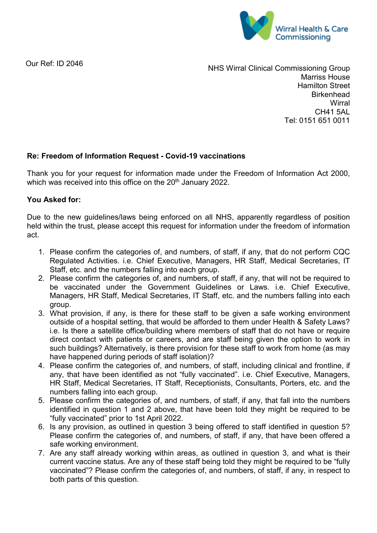

Our Ref: ID 2046

NHS Wirral Clinical Commissioning Group Marriss House Hamilton Street **Birkenhead Wirral** CH41 5AL Tel: 0151 651 0011

## **Re: Freedom of Information Request - Covid-19 vaccinations**

Thank you for your request for information made under the Freedom of Information Act 2000, which was received into this office on the 20<sup>th</sup> January 2022.

## **You Asked for:**

Due to the new guidelines/laws being enforced on all NHS, apparently regardless of position held within the trust, please accept this request for information under the freedom of information act.

- 1. Please confirm the categories of, and numbers, of staff, if any, that do not perform CQC Regulated Activities. i.e. Chief Executive, Managers, HR Staff, Medical Secretaries, IT Staff, etc. and the numbers falling into each group.
- 2. Please confirm the categories of, and numbers, of staff, if any, that will not be required to be vaccinated under the Government Guidelines or Laws. i.e. Chief Executive, Managers, HR Staff, Medical Secretaries, IT Staff, etc. and the numbers falling into each group.
- 3. What provision, if any, is there for these staff to be given a safe working environment outside of a hospital setting, that would be afforded to them under Health & Safety Laws? i.e. Is there a satellite office/building where members of staff that do not have or require direct contact with patients or careers, and are staff being given the option to work in such buildings? Alternatively, is there provision for these staff to work from home (as may have happened during periods of staff isolation)?
- 4. Please confirm the categories of, and numbers, of staff, including clinical and frontline, if any, that have been identified as not "fully vaccinated". i.e. Chief Executive, Managers, HR Staff, Medical Secretaries, IT Staff, Receptionists, Consultants, Porters, etc. and the numbers falling into each group.
- 5. Please confirm the categories of, and numbers, of staff, if any, that fall into the numbers identified in question 1 and 2 above, that have been told they might be required to be "fully vaccinated" prior to 1st April 2022.
- 6. Is any provision, as outlined in question 3 being offered to staff identified in question 5? Please confirm the categories of, and numbers, of staff, if any, that have been offered a safe working environment.
- 7. Are any staff already working within areas, as outlined in question 3, and what is their current vaccine status. Are any of these staff being told they might be required to be "fully vaccinated"? Please confirm the categories of, and numbers, of staff, if any, in respect to both parts of this question.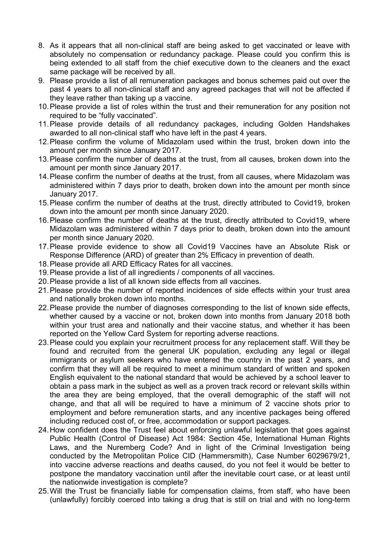- 8. As it appears that all non-clinical staff are being asked to get vaccinated or leave with absolutely no compensation or redundancy package. Please could you confirm this is being extended to all staff from the chief executive down to the cleaners and the exact same package will be received by all.
- 9. Please provide a list of all remuneration packages and bonus schemes paid out over the past 4 years to all non-clinical staff and any agreed packages that will not be affected if they leave rather than taking up a vaccine.
- 10.Please provide a list of roles within the trust and their remuneration for any position not required to be "fully vaccinated".
- 11.Please provide details of all redundancy packages, including Golden Handshakes awarded to all non-clinical staff who have left in the past 4 years.
- 12.Please confirm the volume of Midazolam used within the trust, broken down into the amount per month since January 2017.
- 13.Please confirm the number of deaths at the trust, from all causes, broken down into the amount per month since January 2017.
- 14.Please confirm the number of deaths at the trust, from all causes, where Midazolam was administered within 7 days prior to death, broken down into the amount per month since January 2017.
- 15.Please confirm the number of deaths at the trust, directly attributed to Covid19, broken down into the amount per month since January 2020.
- 16.Please confirm the number of deaths at the trust, directly attributed to Covid19, where Midazolam was administered within 7 days prior to death, broken down into the amount per month since January 2020.
- 17.Please provide evidence to show all Covid19 Vaccines have an Absolute Risk or Response Difference (ARD) of greater than 2% Efficacy in prevention of death.
- 18.Please provide all ARD Efficacy Rates for all vaccines.
- 19.Please provide a list of all ingredients / components of all vaccines.
- 20.Please provide a list of all known side effects from all vaccines.
- 21.Please provide the number of reported incidences of side effects within your trust area and nationally broken down into months.
- 22.Please provide the number of diagnoses corresponding to the list of known side effects, whether caused by a vaccine or not, broken down into months from January 2018 both within your trust area and nationally and their vaccine status, and whether it has been reported on the Yellow Card System for reporting adverse reactions.
- 23.Please could you explain your recruitment process for any replacement staff. Will they be found and recruited from the general UK population, excluding any legal or illegal immigrants or asylum seekers who have entered the country in the past 2 years, and confirm that they will all be required to meet a minimum standard of written and spoken English equivalent to the national standard that would be achieved by a school leaver to obtain a pass mark in the subject as well as a proven track record or relevant skills within the area they are being employed, that the overall demographic of the staff will not change, and that all will be required to have a minimum of 2 vaccine shots prior to employment and before remuneration starts, and any incentive packages being offered including reduced cost of, or free, accommodation or support packages.
- 24.How confident does the Trust feel about enforcing unlawful legislation that goes against Public Health (Control of Disease) Act 1984: Section 45e, International Human Rights Laws, and the Nuremberg Code? And in light of the Criminal Investigation being conducted by the Metropolitan Police CID (Hammersmith), Case Number 6029679/21, into vaccine adverse reactions and deaths caused, do you not feel it would be better to postpone the mandatory vaccination until after the inevitable court case, or at least until the nationwide investigation is complete?
- 25.Will the Trust be financially liable for compensation claims, from staff, who have been (unlawfully) forcibly coerced into taking a drug that is still on trial and with no long-term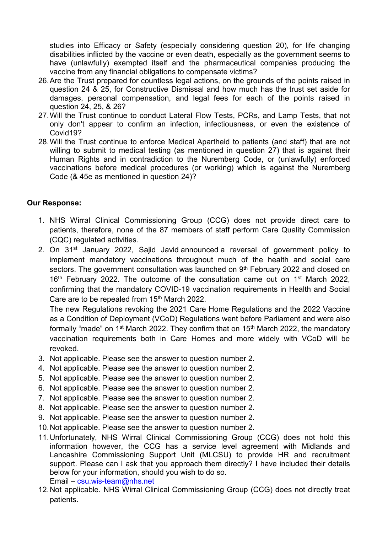studies into Efficacy or Safety (especially considering question 20), for life changing disabilities inflicted by the vaccine or even death, especially as the government seems to have (unlawfully) exempted itself and the pharmaceutical companies producing the vaccine from any financial obligations to compensate victims?

- 26.Are the Trust prepared for countless legal actions, on the grounds of the points raised in question 24 & 25, for Constructive Dismissal and how much has the trust set aside for damages, personal compensation, and legal fees for each of the points raised in question 24, 25, & 26?
- 27.Will the Trust continue to conduct Lateral Flow Tests, PCRs, and Lamp Tests, that not only don't appear to confirm an infection, infectiousness, or even the existence of Covid19?
- 28.Will the Trust continue to enforce Medical Apartheid to patients (and staff) that are not willing to submit to medical testing (as mentioned in question 27) that is against their Human Rights and in contradiction to the Nuremberg Code, or (unlawfully) enforced vaccinations before medical procedures (or working) which is against the Nuremberg Code (& 45e as mentioned in question 24)?

## **Our Response:**

- 1. NHS Wirral Clinical Commissioning Group (CCG) does not provide direct care to patients, therefore, none of the 87 members of staff perform Care Quality Commission (CQC) regulated activities.
- 2. On 31<sup>st</sup> January 2022, Sajid Javid [announced](https://insight.hempsons.co.uk/t/r-l-tylujhdk-bjkjkahiy-j/) a reversal of government policy to implement mandatory vaccinations throughout much of the health and social care sectors. The [government consultation](https://insight.hempsons.co.uk/t/r-l-tylujhdk-bjkjkahiy-t/) was launched on 9<sup>th</sup> February 2022 and closed on  $16<sup>th</sup>$  February 2022. The [outcome](https://insight.hempsons.co.uk/t/r-l-tylujhdk-bjkjkahiy-i/) of the consultation came out on  $1<sup>st</sup>$  March 2022, confirming that the mandatory COVID-19 vaccination requirements in Health and Social Care are to be repealed from 15<sup>th</sup> March 2022.

The [new Regulations](https://insight.hempsons.co.uk/t/r-l-tylujhdk-bjkjkahiy-d/) revoking the 2021 Care Home Regulations and the 2022 Vaccine as a Condition of Deployment (VCoD) Regulations went before Parliament and were also formally "made" on  $1<sup>st</sup>$  March 2022. They confirm that on  $15<sup>th</sup>$  March 2022, the mandatory vaccination requirements both in Care Homes and more widely with VCoD will be revoked.

- 3. Not applicable. Please see the answer to question number 2.
- 4. Not applicable. Please see the answer to question number 2.
- 5. Not applicable. Please see the answer to question number 2.
- 6. Not applicable. Please see the answer to question number 2.
- 7. Not applicable. Please see the answer to question number 2.
- 8. Not applicable. Please see the answer to question number 2.
- 9. Not applicable. Please see the answer to question number 2.
- 10.Not applicable. Please see the answer to question number 2.
- 11.Unfortunately, NHS Wirral Clinical Commissioning Group (CCG) does not hold this information however, the CCG has a service level agreement with Midlands and Lancashire Commissioning Support Unit (MLCSU) to provide HR and recruitment support. Please can I ask that you approach them directly? I have included their details below for your information, should you wish to do so. Email – [csu.wis-team@nhs.net](mailto:csu.wis-team@nhs.net)
- 12.Not applicable. NHS Wirral Clinical Commissioning Group (CCG) does not directly treat patients.